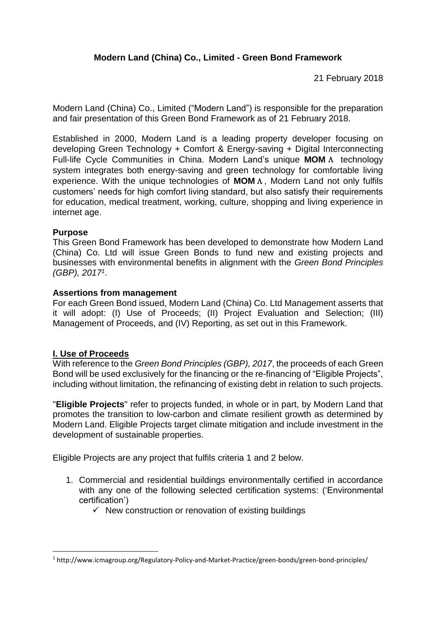21 February 2018

Modern Land (China) Co., Limited ("Modern Land") is responsible for the preparation and fair presentation of this Green Bond Framework as of 21 February 2018.

Established in 2000, Modern Land is a leading property developer focusing on developing Green Technology + Comfort & Energy-saving + Digital Interconnecting Full-life Cycle Communities in China. Modern Land's unique **MOM**Λ technology system integrates both energy-saving and green technology for comfortable living experience. With the unique technologies of **MOM**Λ, Modern Land not only fulfils customers' needs for high comfort living standard, but also satisfy their requirements for education, medical treatment, working, culture, shopping and living experience in internet age.

# **Purpose**

This Green Bond Framework has been developed to demonstrate how Modern Land (China) Co. Ltd will issue Green Bonds to fund new and existing projects and businesses with environmental benefits in alignment with the *Green Bond Principles* (GBP), 2017<sup>1</sup>.

## **Assertions from management**

For each Green Bond issued, Modern Land (China) Co. Ltd Management asserts that it will adopt: (I) Use of Proceeds; (II) Project Evaluation and Selection; (III) Management of Proceeds, and (IV) Reporting, as set out in this Framework.

# **I. Use of Proceeds**

**.** 

With reference to the *Green Bond Principles (GBP), 2017*, the proceeds of each Green Bond will be used exclusively for the financing or the re-financing of "Eligible Projects", including without limitation, the refinancing of existing debt in relation to such projects.

"**Eligible Projects**" refer to projects funded, in whole or in part, by Modern Land that promotes the transition to low-carbon and climate resilient growth as determined by Modern Land. Eligible Projects target climate mitigation and include investment in the development of sustainable properties.

Eligible Projects are any project that fulfils criteria 1 and 2 below.

- 1. Commercial and residential buildings environmentally certified in accordance with any one of the following selected certification systems: ('Environmental certification')
	- $\checkmark$  New construction or renovation of existing buildings

<sup>1</sup> http://www.icmagroup.org/Regulatory-Policy-and-Market-Practice/green-bonds/green-bond-principles/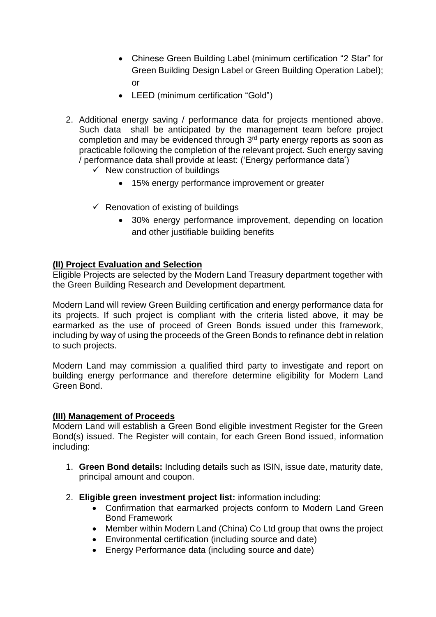- Chinese Green Building Label (minimum certification "2 Star" for Green Building Design Label or Green Building Operation Label); or
- LEED (minimum certification "Gold")
- 2. Additional energy saving / performance data for projects mentioned above. Such data shall be anticipated by the management team before project completion and may be evidenced through 3<sup>rd</sup> party energy reports as soon as practicable following the completion of the relevant project. Such energy saving / performance data shall provide at least: ('Energy performance data')
	- $\checkmark$  New construction of buildings
		- 15% energy performance improvement or greater
	- $\checkmark$  Renovation of existing of buildings
		- 30% energy performance improvement, depending on location and other justifiable building benefits

### **(II) Project Evaluation and Selection**

Eligible Projects are selected by the Modern Land Treasury department together with the Green Building Research and Development department.

Modern Land will review Green Building certification and energy performance data for its projects. If such project is compliant with the criteria listed above, it may be earmarked as the use of proceed of Green Bonds issued under this framework, including by way of using the proceeds of the Green Bonds to refinance debt in relation to such projects.

Modern Land may commission a qualified third party to investigate and report on building energy performance and therefore determine eligibility for Modern Land Green Bond.

### **(III) Management of Proceeds**

Modern Land will establish a Green Bond eligible investment Register for the Green Bond(s) issued. The Register will contain, for each Green Bond issued, information including:

- 1. **Green Bond details:** Including details such as ISIN, issue date, maturity date, principal amount and coupon.
- 2. **Eligible green investment project list:** information including:
	- Confirmation that earmarked projects conform to Modern Land Green Bond Framework
	- Member within Modern Land (China) Co Ltd group that owns the project
	- Environmental certification (including source and date)
	- Energy Performance data (including source and date)